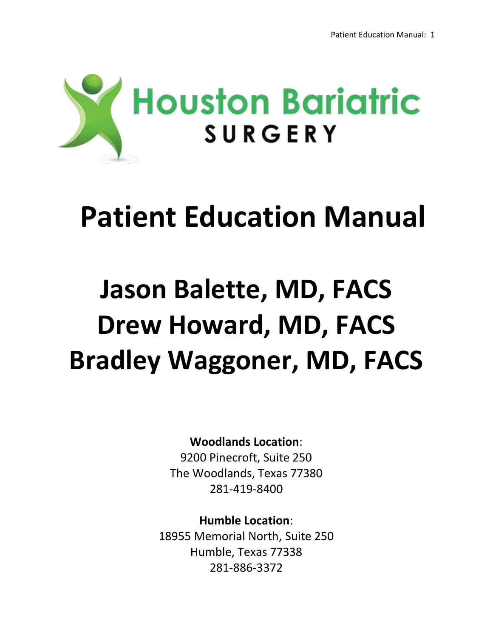

# **Patient Education Manual**

# **Jason Balette, MD, FACS Drew Howard, MD, FACS Bradley Waggoner, MD, FACS**

# **Woodlands Location**:

9200 Pinecroft, Suite 250 The Woodlands, Texas 77380 281-419-8400

**Humble Location**: 18955 Memorial North, Suite 250 Humble, Texas 77338 281-886-3372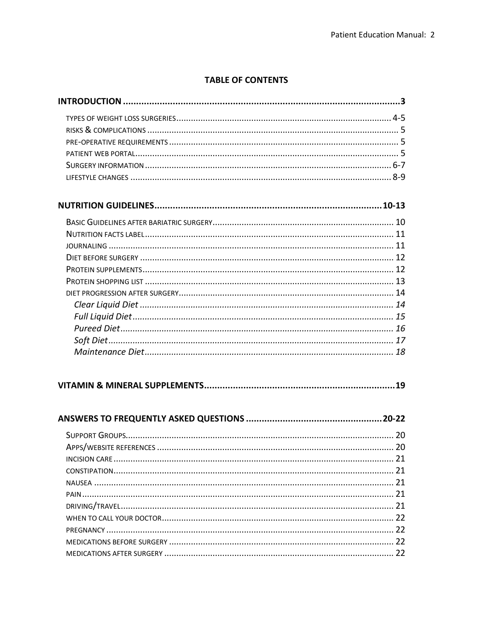#### **TABLE OF CONTENTS**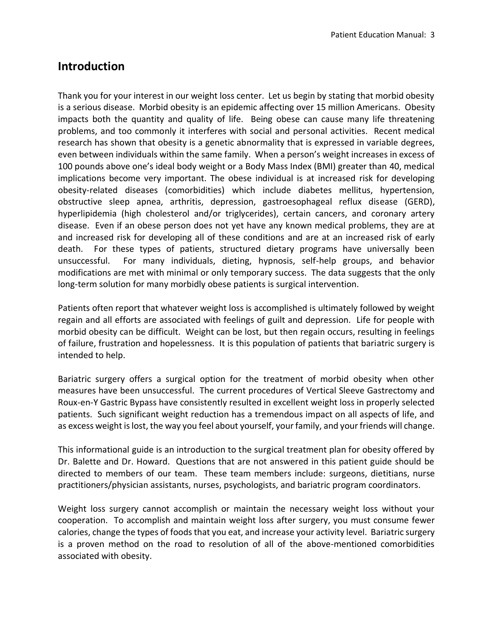### **Introduction**

Thank you for your interest in our weight loss center. Let us begin by stating that morbid obesity is a serious disease. Morbid obesity is an epidemic affecting over 15 million Americans. Obesity impacts both the quantity and quality of life. Being obese can cause many life threatening problems, and too commonly it interferes with social and personal activities. Recent medical research has shown that obesity is a genetic abnormality that is expressed in variable degrees, even between individuals within the same family. When a person's weight increases in excess of 100 pounds above one's ideal body weight or a Body Mass Index (BMI) greater than 40, medical implications become very important. The obese individual is at increased risk for developing obesity-related diseases (comorbidities) which include diabetes mellitus, hypertension, obstructive sleep apnea, arthritis, depression, gastroesophageal reflux disease (GERD), hyperlipidemia (high cholesterol and/or triglycerides), certain cancers, and coronary artery disease. Even if an obese person does not yet have any known medical problems, they are at and increased risk for developing all of these conditions and are at an increased risk of early death. For these types of patients, structured dietary programs have universally been unsuccessful. For many individuals, dieting, hypnosis, self-help groups, and behavior modifications are met with minimal or only temporary success. The data suggests that the only long-term solution for many morbidly obese patients is surgical intervention.

Patients often report that whatever weight loss is accomplished is ultimately followed by weight regain and all efforts are associated with feelings of guilt and depression. Life for people with morbid obesity can be difficult. Weight can be lost, but then regain occurs, resulting in feelings of failure, frustration and hopelessness. It is this population of patients that bariatric surgery is intended to help.

Bariatric surgery offers a surgical option for the treatment of morbid obesity when other measures have been unsuccessful. The current procedures of Vertical Sleeve Gastrectomy and Roux-en-Y Gastric Bypass have consistently resulted in excellent weight loss in properly selected patients. Such significant weight reduction has a tremendous impact on all aspects of life, and as excess weight is lost, the way you feel about yourself, your family, and your friends will change.

This informational guide is an introduction to the surgical treatment plan for obesity offered by Dr. Balette and Dr. Howard. Questions that are not answered in this patient guide should be directed to members of our team. These team members include: surgeons, dietitians, nurse practitioners/physician assistants, nurses, psychologists, and bariatric program coordinators.

Weight loss surgery cannot accomplish or maintain the necessary weight loss without your cooperation. To accomplish and maintain weight loss after surgery, you must consume fewer calories, change the types of foods that you eat, and increase your activity level. Bariatric surgery is a proven method on the road to resolution of all of the above-mentioned comorbidities associated with obesity.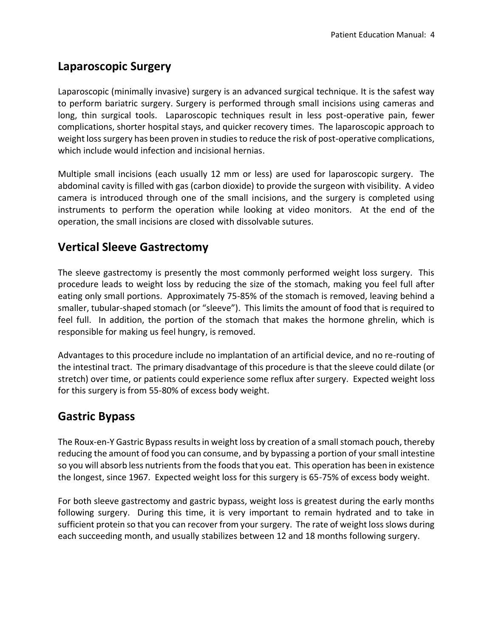## **Laparoscopic Surgery**

Laparoscopic (minimally invasive) surgery is an advanced surgical technique. It is the safest way to perform bariatric surgery. Surgery is performed through small incisions using cameras and long, thin surgical tools. Laparoscopic techniques result in less post-operative pain, fewer complications, shorter hospital stays, and quicker recovery times. The laparoscopic approach to weight loss surgery has been proven in studies to reduce the risk of post-operative complications, which include would infection and incisional hernias.

Multiple small incisions (each usually 12 mm or less) are used for laparoscopic surgery. The abdominal cavity is filled with gas (carbon dioxide) to provide the surgeon with visibility. A video camera is introduced through one of the small incisions, and the surgery is completed using instruments to perform the operation while looking at video monitors. At the end of the operation, the small incisions are closed with dissolvable sutures.

# **Vertical Sleeve Gastrectomy**

The sleeve gastrectomy is presently the most commonly performed weight loss surgery. This procedure leads to weight loss by reducing the size of the stomach, making you feel full after eating only small portions. Approximately 75-85% of the stomach is removed, leaving behind a smaller, tubular-shaped stomach (or "sleeve"). This limits the amount of food that is required to feel full. In addition, the portion of the stomach that makes the hormone ghrelin, which is responsible for making us feel hungry, is removed.

Advantages to this procedure include no implantation of an artificial device, and no re-routing of the intestinal tract. The primary disadvantage of this procedure is that the sleeve could dilate (or stretch) over time, or patients could experience some reflux after surgery. Expected weight loss for this surgery is from 55-80% of excess body weight.

### **Gastric Bypass**

The Roux-en-Y Gastric Bypass results in weight loss by creation of a small stomach pouch, thereby reducing the amount of food you can consume, and by bypassing a portion of your small intestine so you will absorb less nutrients from the foods that you eat. This operation has been in existence the longest, since 1967. Expected weight loss for this surgery is 65-75% of excess body weight.

For both sleeve gastrectomy and gastric bypass, weight loss is greatest during the early months following surgery. During this time, it is very important to remain hydrated and to take in sufficient protein so that you can recover from your surgery. The rate of weight loss slows during each succeeding month, and usually stabilizes between 12 and 18 months following surgery.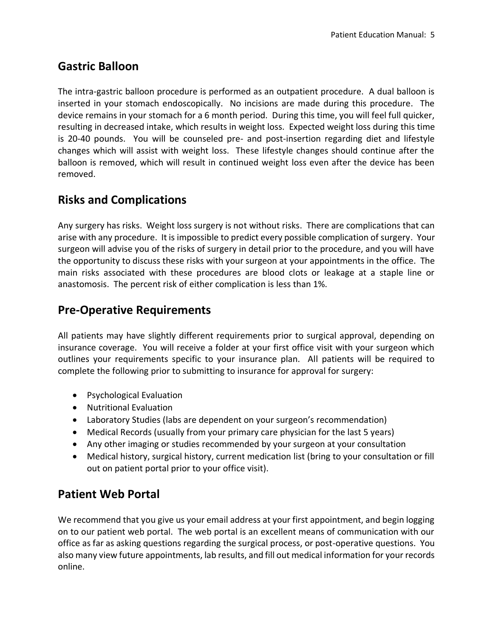# **Gastric Balloon**

The intra-gastric balloon procedure is performed as an outpatient procedure. A dual balloon is inserted in your stomach endoscopically. No incisions are made during this procedure. The device remains in your stomach for a 6 month period. During this time, you will feel full quicker, resulting in decreased intake, which results in weight loss. Expected weight loss during this time is 20-40 pounds. You will be counseled pre- and post-insertion regarding diet and lifestyle changes which will assist with weight loss. These lifestyle changes should continue after the balloon is removed, which will result in continued weight loss even after the device has been removed.

# **Risks and Complications**

Any surgery has risks. Weight loss surgery is not without risks. There are complications that can arise with any procedure. It is impossible to predict every possible complication of surgery. Your surgeon will advise you of the risks of surgery in detail prior to the procedure, and you will have the opportunity to discuss these risks with your surgeon at your appointments in the office. The main risks associated with these procedures are blood clots or leakage at a staple line or anastomosis. The percent risk of either complication is less than 1%.

### **Pre-Operative Requirements**

All patients may have slightly different requirements prior to surgical approval, depending on insurance coverage. You will receive a folder at your first office visit with your surgeon which outlines your requirements specific to your insurance plan. All patients will be required to complete the following prior to submitting to insurance for approval for surgery:

- Psychological Evaluation
- Nutritional Evaluation
- Laboratory Studies (labs are dependent on your surgeon's recommendation)
- Medical Records (usually from your primary care physician for the last 5 years)
- Any other imaging or studies recommended by your surgeon at your consultation
- Medical history, surgical history, current medication list (bring to your consultation or fill out on patient portal prior to your office visit).

### **Patient Web Portal**

We recommend that you give us your email address at your first appointment, and begin logging on to our patient web portal. The web portal is an excellent means of communication with our office as far as asking questions regarding the surgical process, or post-operative questions. You also many view future appointments, lab results, and fill out medical information for your records online.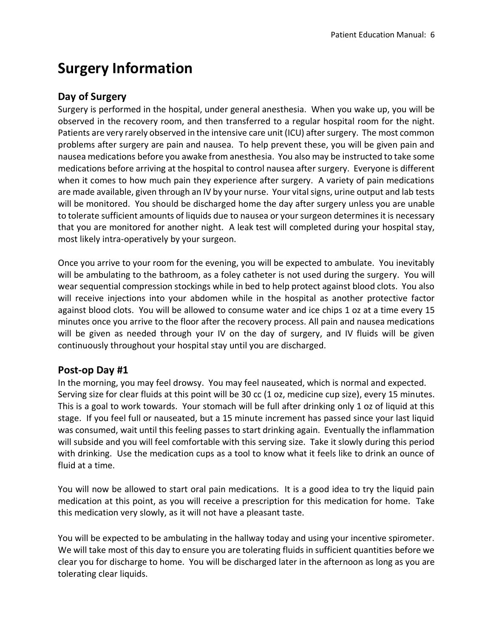# **Surgery Information**

#### **Day of Surgery**

Surgery is performed in the hospital, under general anesthesia. When you wake up, you will be observed in the recovery room, and then transferred to a regular hospital room for the night. Patients are very rarely observed in the intensive care unit (ICU) after surgery. The most common problems after surgery are pain and nausea. To help prevent these, you will be given pain and nausea medications before you awake from anesthesia. You also may be instructed to take some medications before arriving at the hospital to control nausea after surgery. Everyone is different when it comes to how much pain they experience after surgery. A variety of pain medications are made available, given through an IV by your nurse. Your vital signs, urine output and lab tests will be monitored. You should be discharged home the day after surgery unless you are unable to tolerate sufficient amounts of liquids due to nausea or your surgeon determines it is necessary that you are monitored for another night. A leak test will completed during your hospital stay, most likely intra-operatively by your surgeon.

Once you arrive to your room for the evening, you will be expected to ambulate. You inevitably will be ambulating to the bathroom, as a foley catheter is not used during the surgery. You will wear sequential compression stockings while in bed to help protect against blood clots. You also will receive injections into your abdomen while in the hospital as another protective factor against blood clots. You will be allowed to consume water and ice chips 1 oz at a time every 15 minutes once you arrive to the floor after the recovery process. All pain and nausea medications will be given as needed through your IV on the day of surgery, and IV fluids will be given continuously throughout your hospital stay until you are discharged.

#### **Post-op Day #1**

In the morning, you may feel drowsy. You may feel nauseated, which is normal and expected. Serving size for clear fluids at this point will be 30 cc (1 oz, medicine cup size), every 15 minutes. This is a goal to work towards. Your stomach will be full after drinking only 1 oz of liquid at this stage. If you feel full or nauseated, but a 15 minute increment has passed since your last liquid was consumed, wait until this feeling passes to start drinking again. Eventually the inflammation will subside and you will feel comfortable with this serving size. Take it slowly during this period with drinking. Use the medication cups as a tool to know what it feels like to drink an ounce of fluid at a time.

You will now be allowed to start oral pain medications. It is a good idea to try the liquid pain medication at this point, as you will receive a prescription for this medication for home. Take this medication very slowly, as it will not have a pleasant taste.

You will be expected to be ambulating in the hallway today and using your incentive spirometer. We will take most of this day to ensure you are tolerating fluids in sufficient quantities before we clear you for discharge to home. You will be discharged later in the afternoon as long as you are tolerating clear liquids.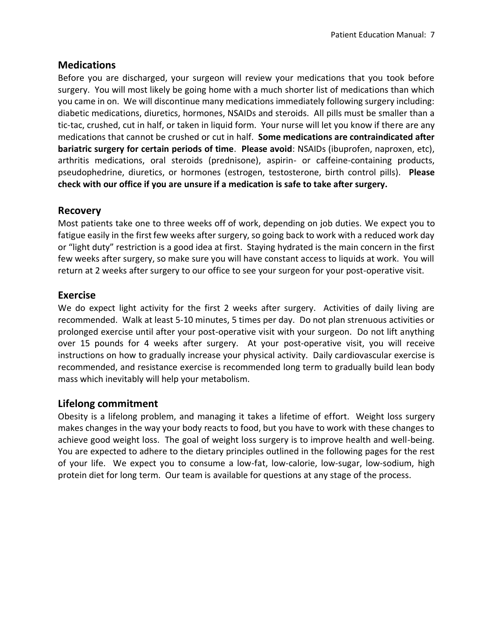#### **Medications**

Before you are discharged, your surgeon will review your medications that you took before surgery. You will most likely be going home with a much shorter list of medications than which you came in on. We will discontinue many medications immediately following surgery including: diabetic medications, diuretics, hormones, NSAIDs and steroids. All pills must be smaller than a tic-tac, crushed, cut in half, or taken in liquid form. Your nurse will let you know if there are any medications that cannot be crushed or cut in half. **Some medications are contraindicated after bariatric surgery for certain periods of time**. **Please avoid**: NSAIDs (ibuprofen, naproxen, etc), arthritis medications, oral steroids (prednisone), aspirin- or caffeine-containing products, pseudophedrine, diuretics, or hormones (estrogen, testosterone, birth control pills). **Please check with our office if you are unsure if a medication is safe to take after surgery.**

#### **Recovery**

Most patients take one to three weeks off of work, depending on job duties. We expect you to fatigue easily in the first few weeks after surgery, so going back to work with a reduced work day or "light duty" restriction is a good idea at first. Staying hydrated is the main concern in the first few weeks after surgery, so make sure you will have constant access to liquids at work. You will return at 2 weeks after surgery to our office to see your surgeon for your post-operative visit.

#### **Exercise**

We do expect light activity for the first 2 weeks after surgery. Activities of daily living are recommended. Walk at least 5-10 minutes, 5 times per day. Do not plan strenuous activities or prolonged exercise until after your post-operative visit with your surgeon. Do not lift anything over 15 pounds for 4 weeks after surgery. At your post-operative visit, you will receive instructions on how to gradually increase your physical activity. Daily cardiovascular exercise is recommended, and resistance exercise is recommended long term to gradually build lean body mass which inevitably will help your metabolism.

#### **Lifelong commitment**

Obesity is a lifelong problem, and managing it takes a lifetime of effort. Weight loss surgery makes changes in the way your body reacts to food, but you have to work with these changes to achieve good weight loss. The goal of weight loss surgery is to improve health and well-being. You are expected to adhere to the dietary principles outlined in the following pages for the rest of your life. We expect you to consume a low-fat, low-calorie, low-sugar, low-sodium, high protein diet for long term. Our team is available for questions at any stage of the process.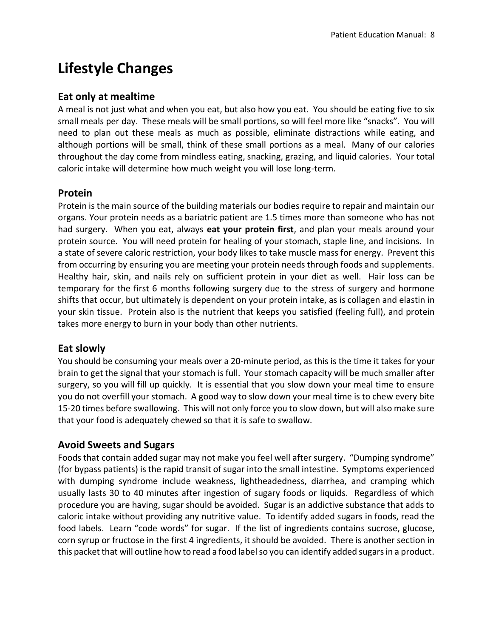# **Lifestyle Changes**

#### **Eat only at mealtime**

A meal is not just what and when you eat, but also how you eat. You should be eating five to six small meals per day. These meals will be small portions, so will feel more like "snacks". You will need to plan out these meals as much as possible, eliminate distractions while eating, and although portions will be small, think of these small portions as a meal. Many of our calories throughout the day come from mindless eating, snacking, grazing, and liquid calories. Your total caloric intake will determine how much weight you will lose long-term.

#### **Protein**

Protein is the main source of the building materials our bodies require to repair and maintain our organs. Your protein needs as a bariatric patient are 1.5 times more than someone who has not had surgery. When you eat, always **eat your protein first**, and plan your meals around your protein source. You will need protein for healing of your stomach, staple line, and incisions. In a state of severe caloric restriction, your body likes to take muscle mass for energy. Prevent this from occurring by ensuring you are meeting your protein needs through foods and supplements. Healthy hair, skin, and nails rely on sufficient protein in your diet as well. Hair loss can be temporary for the first 6 months following surgery due to the stress of surgery and hormone shifts that occur, but ultimately is dependent on your protein intake, as is collagen and elastin in your skin tissue. Protein also is the nutrient that keeps you satisfied (feeling full), and protein takes more energy to burn in your body than other nutrients.

#### **Eat slowly**

You should be consuming your meals over a 20-minute period, as this is the time it takes for your brain to get the signal that your stomach is full. Your stomach capacity will be much smaller after surgery, so you will fill up quickly. It is essential that you slow down your meal time to ensure you do not overfill your stomach. A good way to slow down your meal time is to chew every bite 15-20 times before swallowing. This will not only force you to slow down, but will also make sure that your food is adequately chewed so that it is safe to swallow.

#### **Avoid Sweets and Sugars**

Foods that contain added sugar may not make you feel well after surgery. "Dumping syndrome" (for bypass patients) is the rapid transit of sugar into the small intestine. Symptoms experienced with dumping syndrome include weakness, lightheadedness, diarrhea, and cramping which usually lasts 30 to 40 minutes after ingestion of sugary foods or liquids. Regardless of which procedure you are having, sugar should be avoided. Sugar is an addictive substance that adds to caloric intake without providing any nutritive value. To identify added sugars in foods, read the food labels. Learn "code words" for sugar. If the list of ingredients contains sucrose, glucose, corn syrup or fructose in the first 4 ingredients, it should be avoided. There is another section in this packet that will outline how to read a food label so you can identify added sugars in a product.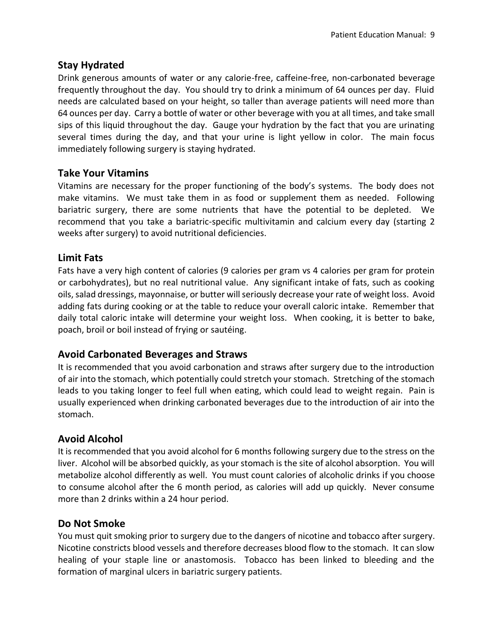#### **Stay Hydrated**

Drink generous amounts of water or any calorie-free, caffeine-free, non-carbonated beverage frequently throughout the day. You should try to drink a minimum of 64 ounces per day. Fluid needs are calculated based on your height, so taller than average patients will need more than 64 ounces per day. Carry a bottle of water or other beverage with you at all times, and take small sips of this liquid throughout the day. Gauge your hydration by the fact that you are urinating several times during the day, and that your urine is light yellow in color. The main focus immediately following surgery is staying hydrated.

#### **Take Your Vitamins**

Vitamins are necessary for the proper functioning of the body's systems. The body does not make vitamins. We must take them in as food or supplement them as needed. Following bariatric surgery, there are some nutrients that have the potential to be depleted. We recommend that you take a bariatric-specific multivitamin and calcium every day (starting 2 weeks after surgery) to avoid nutritional deficiencies.

#### **Limit Fats**

Fats have a very high content of calories (9 calories per gram vs 4 calories per gram for protein or carbohydrates), but no real nutritional value. Any significant intake of fats, such as cooking oils, salad dressings, mayonnaise, or butter will seriously decrease your rate of weight loss. Avoid adding fats during cooking or at the table to reduce your overall caloric intake. Remember that daily total caloric intake will determine your weight loss. When cooking, it is better to bake, poach, broil or boil instead of frying or sautéing.

#### **Avoid Carbonated Beverages and Straws**

It is recommended that you avoid carbonation and straws after surgery due to the introduction of air into the stomach, which potentially could stretch your stomach. Stretching of the stomach leads to you taking longer to feel full when eating, which could lead to weight regain. Pain is usually experienced when drinking carbonated beverages due to the introduction of air into the stomach.

#### **Avoid Alcohol**

It is recommended that you avoid alcohol for 6 months following surgery due to the stress on the liver. Alcohol will be absorbed quickly, as your stomach is the site of alcohol absorption. You will metabolize alcohol differently as well. You must count calories of alcoholic drinks if you choose to consume alcohol after the 6 month period, as calories will add up quickly. Never consume more than 2 drinks within a 24 hour period.

#### **Do Not Smoke**

You must quit smoking prior to surgery due to the dangers of nicotine and tobacco after surgery. Nicotine constricts blood vessels and therefore decreases blood flow to the stomach. It can slow healing of your staple line or anastomosis. Tobacco has been linked to bleeding and the formation of marginal ulcers in bariatric surgery patients.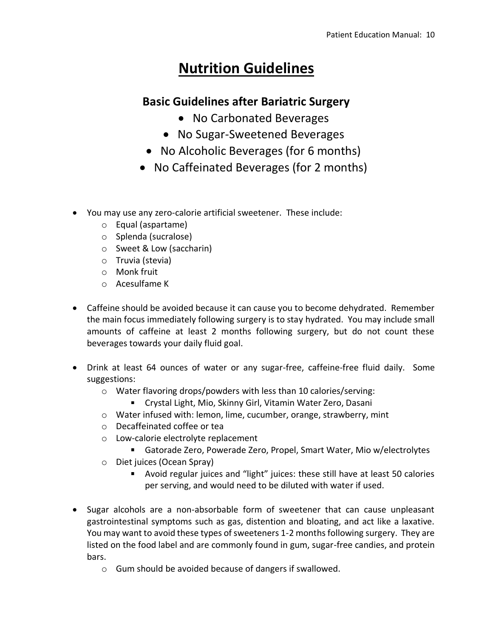# **Nutrition Guidelines**

## **Basic Guidelines after Bariatric Surgery**

- No Carbonated Beverages
- No Sugar-Sweetened Beverages
- No Alcoholic Beverages (for 6 months)
- No Caffeinated Beverages (for 2 months)
- You may use any zero-calorie artificial sweetener. These include:
	- o Equal (aspartame)
	- o Splenda (sucralose)
	- o Sweet & Low (saccharin)
	- o Truvia (stevia)
	- o Monk fruit
	- o Acesulfame K
- Caffeine should be avoided because it can cause you to become dehydrated. Remember the main focus immediately following surgery is to stay hydrated. You may include small amounts of caffeine at least 2 months following surgery, but do not count these beverages towards your daily fluid goal.
- Drink at least 64 ounces of water or any sugar-free, caffeine-free fluid daily. Some suggestions:
	- o Water flavoring drops/powders with less than 10 calories/serving:
		- Crystal Light, Mio, Skinny Girl, Vitamin Water Zero, Dasani
	- o Water infused with: lemon, lime, cucumber, orange, strawberry, mint
	- o Decaffeinated coffee or tea
	- o Low-calorie electrolyte replacement
		- Gatorade Zero, Powerade Zero, Propel, Smart Water, Mio w/electrolytes
	- o Diet juices (Ocean Spray)
		- Avoid regular juices and "light" juices: these still have at least 50 calories per serving, and would need to be diluted with water if used.
- Sugar alcohols are a non-absorbable form of sweetener that can cause unpleasant gastrointestinal symptoms such as gas, distention and bloating, and act like a laxative. You may want to avoid these types of sweeteners 1-2 months following surgery. They are listed on the food label and are commonly found in gum, sugar-free candies, and protein bars.
	- o Gum should be avoided because of dangers if swallowed.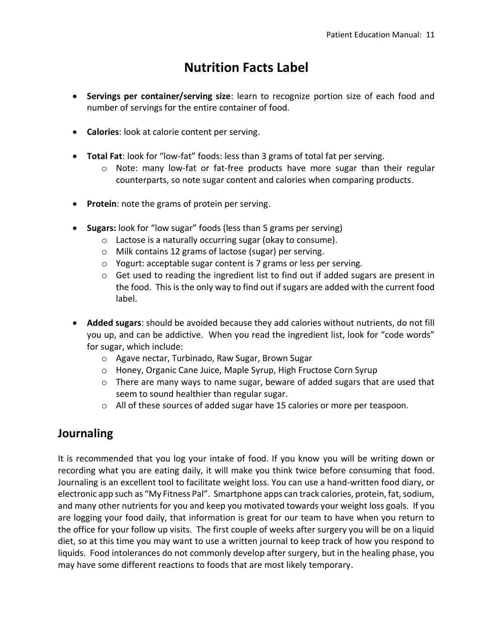# **Nutrition Facts Label**

- **Servings per container/serving size**: learn to recognize portion size of each food and number of servings for the entire container of food.
- **Calories**: look at calorie content per serving.
- **Total Fat**: look for "low-fat" foods: less than 3 grams of total fat per serving.
	- o Note: many low-fat or fat-free products have more sugar than their regular counterparts, so note sugar content and calories when comparing products.
- **Protein**: note the grams of protein per serving.
- **Sugars:** look for "low sugar" foods (less than 5 grams per serving)
	- o Lactose is a naturally occurring sugar (okay to consume).
	- o Milk contains 12 grams of lactose (sugar) per serving.
	- o Yogurt: acceptable sugar content is 7 grams or less per serving.
	- $\circ$  Get used to reading the ingredient list to find out if added sugars are present in the food. This is the only way to find out if sugars are added with the current food label.
- **Added sugars**: should be avoided because they add calories without nutrients, do not fill you up, and can be addictive. When you read the ingredient list, look for "code words" for sugar, which include:
	- o Agave nectar, Turbinado, Raw Sugar, Brown Sugar
	- o Honey, Organic Cane Juice, Maple Syrup, High Fructose Corn Syrup
	- $\circ$  There are many ways to name sugar, beware of added sugars that are used that seem to sound healthier than regular sugar.
	- o All of these sources of added sugar have 15 calories or more per teaspoon.

### **Journaling**

It is recommended that you log your intake of food. If you know you will be writing down or recording what you are eating daily, it will make you think twice before consuming that food. Journaling is an excellent tool to facilitate weight loss. You can use a hand-written food diary, or electronic app such as "My Fitness Pal". Smartphone apps can track calories, protein, fat, sodium, and many other nutrients for you and keep you motivated towards your weight loss goals. If you are logging your food daily, that information is great for our team to have when you return to the office for your follow up visits. The first couple of weeks after surgery you will be on a liquid diet, so at this time you may want to use a written journal to keep track of how you respond to liquids. Food intolerances do not commonly develop after surgery, but in the healing phase, you may have some different reactions to foods that are most likely temporary.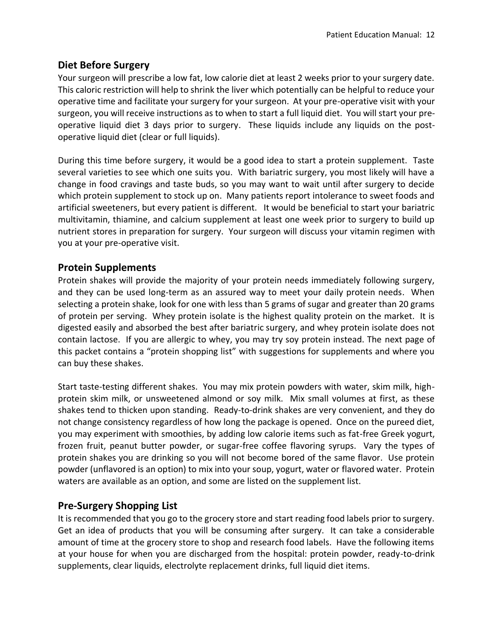#### **Diet Before Surgery**

Your surgeon will prescribe a low fat, low calorie diet at least 2 weeks prior to your surgery date. This caloric restriction will help to shrink the liver which potentially can be helpful to reduce your operative time and facilitate your surgery for your surgeon. At your pre-operative visit with your surgeon, you will receive instructions as to when to start a full liquid diet. You will start your preoperative liquid diet 3 days prior to surgery. These liquids include any liquids on the postoperative liquid diet (clear or full liquids).

During this time before surgery, it would be a good idea to start a protein supplement. Taste several varieties to see which one suits you. With bariatric surgery, you most likely will have a change in food cravings and taste buds, so you may want to wait until after surgery to decide which protein supplement to stock up on. Many patients report intolerance to sweet foods and artificial sweeteners, but every patient is different. It would be beneficial to start your bariatric multivitamin, thiamine, and calcium supplement at least one week prior to surgery to build up nutrient stores in preparation for surgery. Your surgeon will discuss your vitamin regimen with you at your pre-operative visit.

#### **Protein Supplements**

Protein shakes will provide the majority of your protein needs immediately following surgery, and they can be used long-term as an assured way to meet your daily protein needs. When selecting a protein shake, look for one with less than 5 grams of sugar and greater than 20 grams of protein per serving. Whey protein isolate is the highest quality protein on the market. It is digested easily and absorbed the best after bariatric surgery, and whey protein isolate does not contain lactose. If you are allergic to whey, you may try soy protein instead. The next page of this packet contains a "protein shopping list" with suggestions for supplements and where you can buy these shakes.

Start taste-testing different shakes. You may mix protein powders with water, skim milk, highprotein skim milk, or unsweetened almond or soy milk. Mix small volumes at first, as these shakes tend to thicken upon standing. Ready-to-drink shakes are very convenient, and they do not change consistency regardless of how long the package is opened. Once on the pureed diet, you may experiment with smoothies, by adding low calorie items such as fat-free Greek yogurt, frozen fruit, peanut butter powder, or sugar-free coffee flavoring syrups. Vary the types of protein shakes you are drinking so you will not become bored of the same flavor. Use protein powder (unflavored is an option) to mix into your soup, yogurt, water or flavored water. Protein waters are available as an option, and some are listed on the supplement list.

#### **Pre-Surgery Shopping List**

It is recommended that you go to the grocery store and start reading food labels prior to surgery. Get an idea of products that you will be consuming after surgery. It can take a considerable amount of time at the grocery store to shop and research food labels. Have the following items at your house for when you are discharged from the hospital: protein powder, ready-to-drink supplements, clear liquids, electrolyte replacement drinks, full liquid diet items.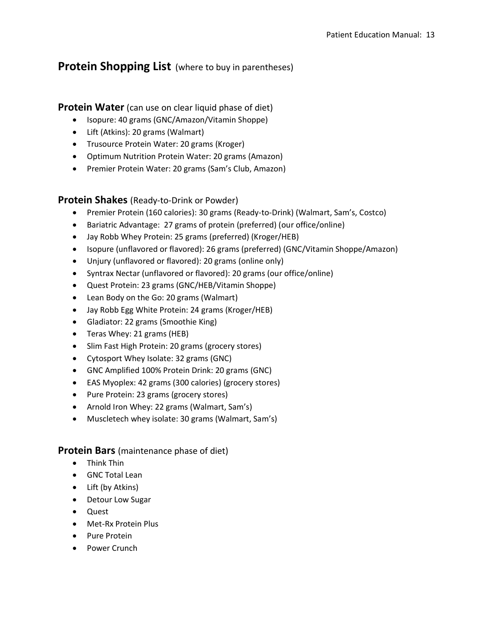#### **Protein Shopping List** (where to buy in parentheses)

#### **Protein Water** (can use on clear liquid phase of diet)

- Isopure: 40 grams (GNC/Amazon/Vitamin Shoppe)
- Lift (Atkins): 20 grams (Walmart)
- Trusource Protein Water: 20 grams (Kroger)
- Optimum Nutrition Protein Water: 20 grams (Amazon)
- Premier Protein Water: 20 grams (Sam's Club, Amazon)

#### **Protein Shakes** (Ready-to-Drink or Powder)

- Premier Protein (160 calories): 30 grams (Ready-to-Drink) (Walmart, Sam's, Costco)
- Bariatric Advantage: 27 grams of protein (preferred) (our office/online)
- Jay Robb Whey Protein: 25 grams (preferred) (Kroger/HEB)
- Isopure (unflavored or flavored): 26 grams (preferred) (GNC/Vitamin Shoppe/Amazon)
- Unjury (unflavored or flavored): 20 grams (online only)
- Syntrax Nectar (unflavored or flavored): 20 grams (our office/online)
- Quest Protein: 23 grams (GNC/HEB/Vitamin Shoppe)
- Lean Body on the Go: 20 grams (Walmart)
- Jay Robb Egg White Protein: 24 grams (Kroger/HEB)
- Gladiator: 22 grams (Smoothie King)
- Teras Whey: 21 grams (HEB)
- Slim Fast High Protein: 20 grams (grocery stores)
- Cytosport Whey Isolate: 32 grams (GNC)
- GNC Amplified 100% Protein Drink: 20 grams (GNC)
- EAS Myoplex: 42 grams (300 calories) (grocery stores)
- Pure Protein: 23 grams (grocery stores)
- Arnold Iron Whey: 22 grams (Walmart, Sam's)
- Muscletech whey isolate: 30 grams (Walmart, Sam's)

#### **Protein Bars** (maintenance phase of diet)

- Think Thin
- GNC Total Lean
- Lift (by Atkins)
- Detour Low Sugar
- Quest
- Met-Rx Protein Plus
- Pure Protein
- Power Crunch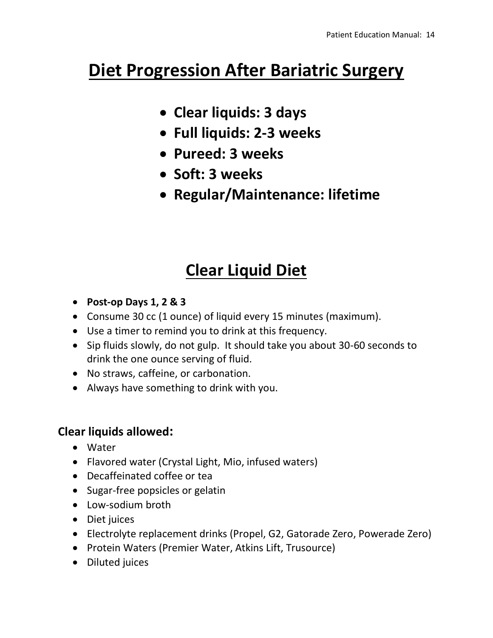# **Diet Progression After Bariatric Surgery**

- **Clear liquids: 3 days**
- **Full liquids: 2-3 weeks**
- **Pureed: 3 weeks**
- **Soft: 3 weeks**
- **Regular/Maintenance: lifetime**

# **Clear Liquid Diet**

- **Post-op Days 1, 2 & 3**
- Consume 30 cc (1 ounce) of liquid every 15 minutes (maximum).
- Use a timer to remind you to drink at this frequency.
- Sip fluids slowly, do not gulp. It should take you about 30-60 seconds to drink the one ounce serving of fluid.
- No straws, caffeine, or carbonation.
- Always have something to drink with you.

# **Clear liquids allowed:**

- Water
- Flavored water (Crystal Light, Mio, infused waters)
- Decaffeinated coffee or tea
- Sugar-free popsicles or gelatin
- Low-sodium broth
- Diet juices
- Electrolyte replacement drinks (Propel, G2, Gatorade Zero, Powerade Zero)
- Protein Waters (Premier Water, Atkins Lift, Trusource)
- Diluted juices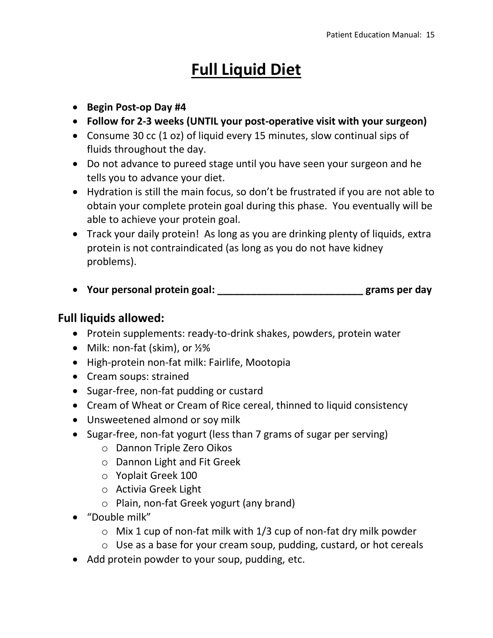# **Full Liquid Diet**

- **Begin Post-op Day #4**
- **Follow for 2-3 weeks (UNTIL your post-operative visit with your surgeon)**
- Consume 30 cc (1 oz) of liquid every 15 minutes, slow continual sips of fluids throughout the day.
- Do not advance to pureed stage until you have seen your surgeon and he tells you to advance your diet.
- Hydration is still the main focus, so don't be frustrated if you are not able to obtain your complete protein goal during this phase. You eventually will be able to achieve your protein goal.
- Track your daily protein! As long as you are drinking plenty of liquids, extra protein is not contraindicated (as long as you do not have kidney problems).
- **Your personal protein goal: \_\_\_\_\_\_\_\_\_\_\_\_\_\_\_\_\_\_\_\_\_\_\_\_\_\_ grams per day**

### **Full liquids allowed:**

- Protein supplements: ready-to-drink shakes, powders, protein water
- Milk: non-fat (skim), or 1/2%
- High-protein non-fat milk: Fairlife, Mootopia
- Cream soups: strained
- Sugar-free, non-fat pudding or custard
- Cream of Wheat or Cream of Rice cereal, thinned to liquid consistency
- Unsweetened almond or soy milk
- Sugar-free, non-fat yogurt (less than 7 grams of sugar per serving)
	- o Dannon Triple Zero Oikos
	- o Dannon Light and Fit Greek
	- o Yoplait Greek 100
	- o Activia Greek Light
	- o Plain, non-fat Greek yogurt (any brand)
- "Double milk"
	- $\circ$  Mix 1 cup of non-fat milk with 1/3 cup of non-fat dry milk powder
	- o Use as a base for your cream soup, pudding, custard, or hot cereals
- Add protein powder to your soup, pudding, etc.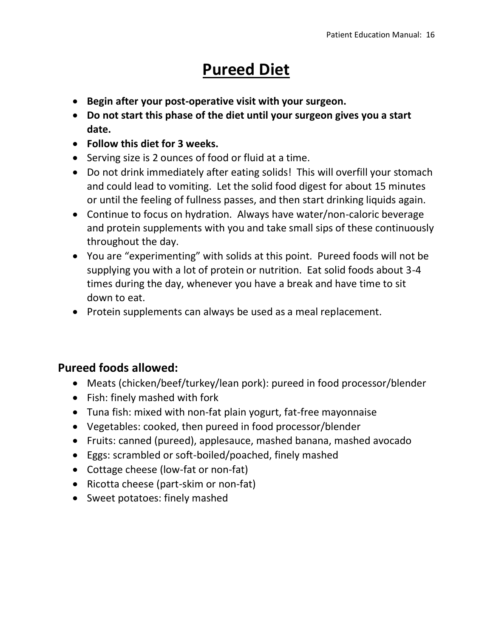# **Pureed Diet**

- **Begin after your post-operative visit with your surgeon.**
- **Do not start this phase of the diet until your surgeon gives you a start date.**
- **Follow this diet for 3 weeks.**
- Serving size is 2 ounces of food or fluid at a time.
- Do not drink immediately after eating solids! This will overfill your stomach and could lead to vomiting. Let the solid food digest for about 15 minutes or until the feeling of fullness passes, and then start drinking liquids again.
- Continue to focus on hydration. Always have water/non-caloric beverage and protein supplements with you and take small sips of these continuously throughout the day.
- You are "experimenting" with solids at this point. Pureed foods will not be supplying you with a lot of protein or nutrition. Eat solid foods about 3-4 times during the day, whenever you have a break and have time to sit down to eat.
- Protein supplements can always be used as a meal replacement.

# **Pureed foods allowed:**

- Meats (chicken/beef/turkey/lean pork): pureed in food processor/blender
- Fish: finely mashed with fork
- Tuna fish: mixed with non-fat plain yogurt, fat-free mayonnaise
- Vegetables: cooked, then pureed in food processor/blender
- Fruits: canned (pureed), applesauce, mashed banana, mashed avocado
- Eggs: scrambled or soft-boiled/poached, finely mashed
- Cottage cheese (low-fat or non-fat)
- Ricotta cheese (part-skim or non-fat)
- Sweet potatoes: finely mashed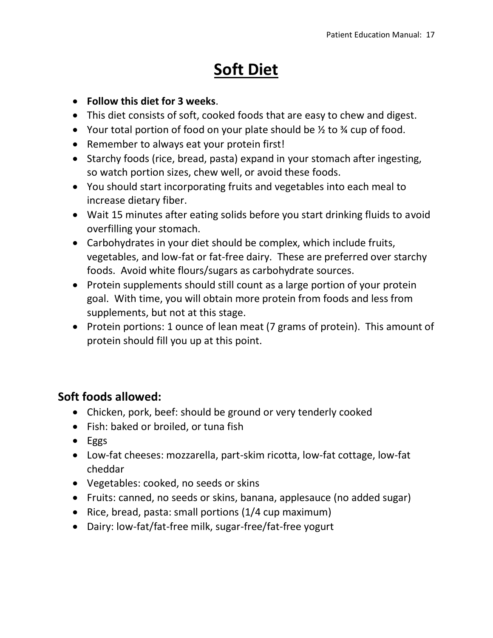# **Soft Diet**

- **Follow this diet for 3 weeks**.
- This diet consists of soft, cooked foods that are easy to chew and digest.
- Your total portion of food on your plate should be  $\frac{1}{2}$  to  $\frac{3}{4}$  cup of food.
- Remember to always eat your protein first!
- Starchy foods (rice, bread, pasta) expand in your stomach after ingesting, so watch portion sizes, chew well, or avoid these foods.
- You should start incorporating fruits and vegetables into each meal to increase dietary fiber.
- Wait 15 minutes after eating solids before you start drinking fluids to avoid overfilling your stomach.
- Carbohydrates in your diet should be complex, which include fruits, vegetables, and low-fat or fat-free dairy. These are preferred over starchy foods. Avoid white flours/sugars as carbohydrate sources.
- Protein supplements should still count as a large portion of your protein goal. With time, you will obtain more protein from foods and less from supplements, but not at this stage.
- Protein portions: 1 ounce of lean meat (7 grams of protein). This amount of protein should fill you up at this point.

# **Soft foods allowed:**

- Chicken, pork, beef: should be ground or very tenderly cooked
- Fish: baked or broiled, or tuna fish
- Eggs
- Low-fat cheeses: mozzarella, part-skim ricotta, low-fat cottage, low-fat cheddar
- Vegetables: cooked, no seeds or skins
- Fruits: canned, no seeds or skins, banana, applesauce (no added sugar)
- Rice, bread, pasta: small portions (1/4 cup maximum)
- Dairy: low-fat/fat-free milk, sugar-free/fat-free yogurt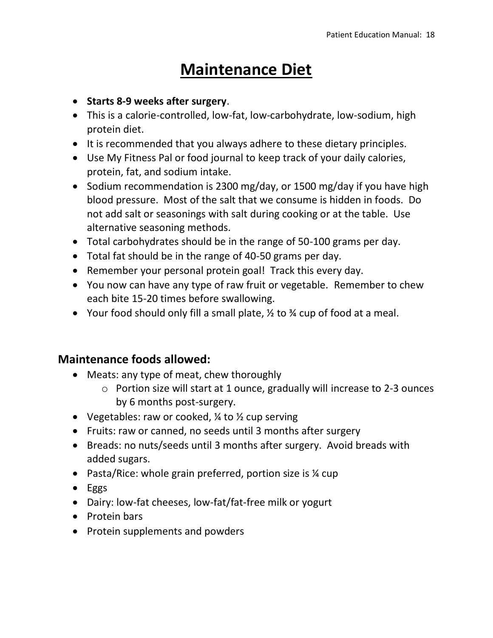# **Maintenance Diet**

- **Starts 8-9 weeks after surgery**.
- This is a calorie-controlled, low-fat, low-carbohydrate, low-sodium, high protein diet.
- It is recommended that you always adhere to these dietary principles.
- Use My Fitness Pal or food journal to keep track of your daily calories, protein, fat, and sodium intake.
- Sodium recommendation is 2300 mg/day, or 1500 mg/day if you have high blood pressure. Most of the salt that we consume is hidden in foods. Do not add salt or seasonings with salt during cooking or at the table. Use alternative seasoning methods.
- Total carbohydrates should be in the range of 50-100 grams per day.
- Total fat should be in the range of 40-50 grams per day.
- Remember your personal protein goal! Track this every day.
- You now can have any type of raw fruit or vegetable. Remember to chew each bite 15-20 times before swallowing.
- Your food should only fill a small plate,  $\frac{1}{2}$  to  $\frac{3}{4}$  cup of food at a meal.

### **Maintenance foods allowed:**

- Meats: any type of meat, chew thoroughly
	- o Portion size will start at 1 ounce, gradually will increase to 2-3 ounces by 6 months post-surgery.
- Vegetables: raw or cooked,  $\frac{1}{4}$  to  $\frac{1}{2}$  cup serving
- Fruits: raw or canned, no seeds until 3 months after surgery
- Breads: no nuts/seeds until 3 months after surgery. Avoid breads with added sugars.
- Pasta/Rice: whole grain preferred, portion size is <sup>1</sup>/<sub>4</sub> cup
- Eggs
- Dairy: low-fat cheeses, low-fat/fat-free milk or yogurt
- Protein bars
- Protein supplements and powders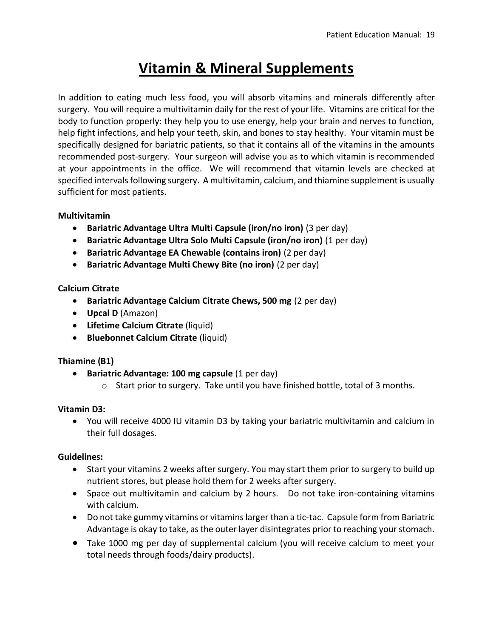# **Vitamin & Mineral Supplements**

In addition to eating much less food, you will absorb vitamins and minerals differently after surgery. You will require a multivitamin daily for the rest of your life. Vitamins are critical for the body to function properly: they help you to use energy, help your brain and nerves to function, help fight infections, and help your teeth, skin, and bones to stay healthy. Your vitamin must be specifically designed for bariatric patients, so that it contains all of the vitamins in the amounts recommended post-surgery. Your surgeon will advise you as to which vitamin is recommended at your appointments in the office. We will recommend that vitamin levels are checked at specified intervals following surgery. A multivitamin, calcium, and thiamine supplement is usually sufficient for most patients.

#### **Multivitamin**

- **Bariatric Advantage Ultra Multi Capsule (iron/no iron)** (3 per day)
- **Bariatric Advantage Ultra Solo Multi Capsule (iron/no iron)** (1 per day)
- **Bariatric Advantage EA Chewable (contains iron)** (2 per day)
- **Bariatric Advantage Multi Chewy Bite (no iron)** (2 per day)

#### **Calcium Citrate**

- **Bariatric Advantage Calcium Citrate Chews, 500 mg** (2 per day)
- **Upcal D** (Amazon)
- **Lifetime Calcium Citrate** (liquid)
- **Bluebonnet Calcium Citrate** (liquid)

#### **Thiamine (B1)**

- **Bariatric Advantage: 100 mg capsule** (1 per day)
	- o Start prior to surgery. Take until you have finished bottle, total of 3 months.

#### **Vitamin D3:**

• You will receive 4000 IU vitamin D3 by taking your bariatric multivitamin and calcium in their full dosages.

#### **Guidelines:**

- Start your vitamins 2 weeks after surgery. You may start them prior to surgery to build up nutrient stores, but please hold them for 2 weeks after surgery.
- Space out multivitamin and calcium by 2 hours. Do not take iron-containing vitamins with calcium.
- Do not take gummy vitamins or vitamins larger than a tic-tac. Capsule form from Bariatric Advantage is okay to take, as the outer layer disintegrates prior to reaching your stomach.
- Take 1000 mg per day of supplemental calcium (you will receive calcium to meet your total needs through foods/dairy products).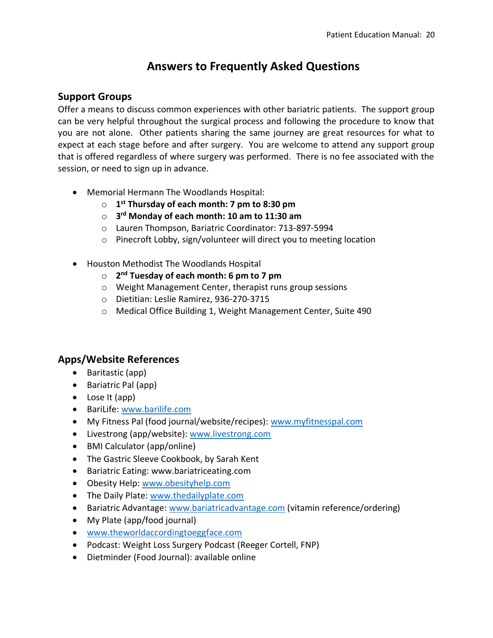## **Answers to Frequently Asked Questions**

#### **Support Groups**

Offer a means to discuss common experiences with other bariatric patients. The support group can be very helpful throughout the surgical process and following the procedure to know that you are not alone. Other patients sharing the same journey are great resources for what to expect at each stage before and after surgery. You are welcome to attend any support group that is offered regardless of where surgery was performed. There is no fee associated with the session, or need to sign up in advance.

- Memorial Hermann The Woodlands Hospital:
	- o **1 st Thursday of each month: 7 pm to 8:30 pm**
	- o **3 rd Monday of each month: 10 am to 11:30 am**
	- o Lauren Thompson, Bariatric Coordinator: 713-897-5994
	- o Pinecroft Lobby, sign/volunteer will direct you to meeting location
- Houston Methodist The Woodlands Hospital
	- o **2 nd Tuesday of each month: 6 pm to 7 pm**
	- o Weight Management Center, therapist runs group sessions
	- o Dietitian: Leslie Ramirez, 936-270-3715
	- o Medical Office Building 1, Weight Management Center, Suite 490

#### **Apps/Website References**

- Baritastic (app)
- Bariatric Pal (app)
- Lose It (app)
- BariLife: [www.barilife.com](http://www.barilife.com/)
- My Fitness Pal (food journal/website/recipes): [www.myfitnesspal.com](http://www.myfitnesspal.com/)
- Livestrong (app/website): [www.livestrong.com](http://www.livestrong.com/)
- BMI Calculator (app/online)
- The Gastric Sleeve Cookbook, by Sarah Kent
- Bariatric Eating: www.bariatriceating.com
- Obesity Help: [www.obesityhelp.com](http://www.obesityhelp.com/)
- The Daily Plate: [www.thedailyplate.com](http://www.thedailyplate.com/)
- Bariatric Advantage[: www.bariatricadvantage.com](http://www.bariatricadvantage.com/) (vitamin reference/ordering)
- My Plate (app/food journal)
- [www.theworldaccordingtoeggface.com](http://www.theworldaccordingtoeggface.com/)
- Podcast: Weight Loss Surgery Podcast (Reeger Cortell, FNP)
- Dietminder (Food Journal): available online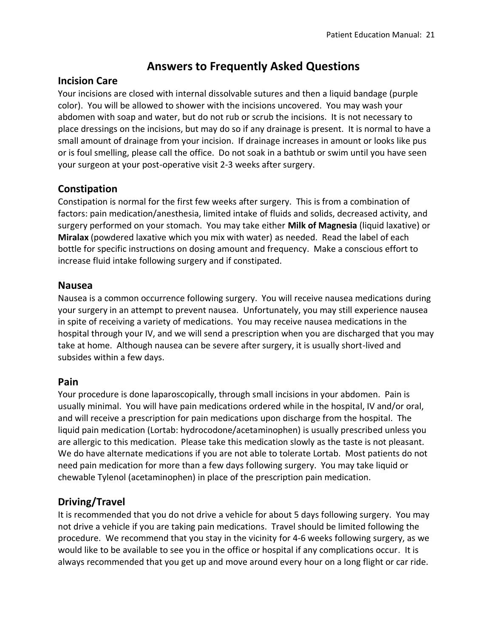### **Answers to Frequently Asked Questions**

#### **Incision Care**

Your incisions are closed with internal dissolvable sutures and then a liquid bandage (purple color). You will be allowed to shower with the incisions uncovered. You may wash your abdomen with soap and water, but do not rub or scrub the incisions. It is not necessary to place dressings on the incisions, but may do so if any drainage is present. It is normal to have a small amount of drainage from your incision. If drainage increases in amount or looks like pus or is foul smelling, please call the office. Do not soak in a bathtub or swim until you have seen your surgeon at your post-operative visit 2-3 weeks after surgery.

#### **Constipation**

Constipation is normal for the first few weeks after surgery. This is from a combination of factors: pain medication/anesthesia, limited intake of fluids and solids, decreased activity, and surgery performed on your stomach. You may take either **Milk of Magnesia** (liquid laxative) or **Miralax** (powdered laxative which you mix with water) as needed. Read the label of each bottle for specific instructions on dosing amount and frequency. Make a conscious effort to increase fluid intake following surgery and if constipated.

#### **Nausea**

Nausea is a common occurrence following surgery. You will receive nausea medications during your surgery in an attempt to prevent nausea. Unfortunately, you may still experience nausea in spite of receiving a variety of medications. You may receive nausea medications in the hospital through your IV, and we will send a prescription when you are discharged that you may take at home. Although nausea can be severe after surgery, it is usually short-lived and subsides within a few days.

#### **Pain**

Your procedure is done laparoscopically, through small incisions in your abdomen. Pain is usually minimal. You will have pain medications ordered while in the hospital, IV and/or oral, and will receive a prescription for pain medications upon discharge from the hospital. The liquid pain medication (Lortab: hydrocodone/acetaminophen) is usually prescribed unless you are allergic to this medication. Please take this medication slowly as the taste is not pleasant. We do have alternate medications if you are not able to tolerate Lortab. Most patients do not need pain medication for more than a few days following surgery. You may take liquid or chewable Tylenol (acetaminophen) in place of the prescription pain medication.

#### **Driving/Travel**

It is recommended that you do not drive a vehicle for about 5 days following surgery. You may not drive a vehicle if you are taking pain medications. Travel should be limited following the procedure. We recommend that you stay in the vicinity for 4-6 weeks following surgery, as we would like to be available to see you in the office or hospital if any complications occur. It is always recommended that you get up and move around every hour on a long flight or car ride.